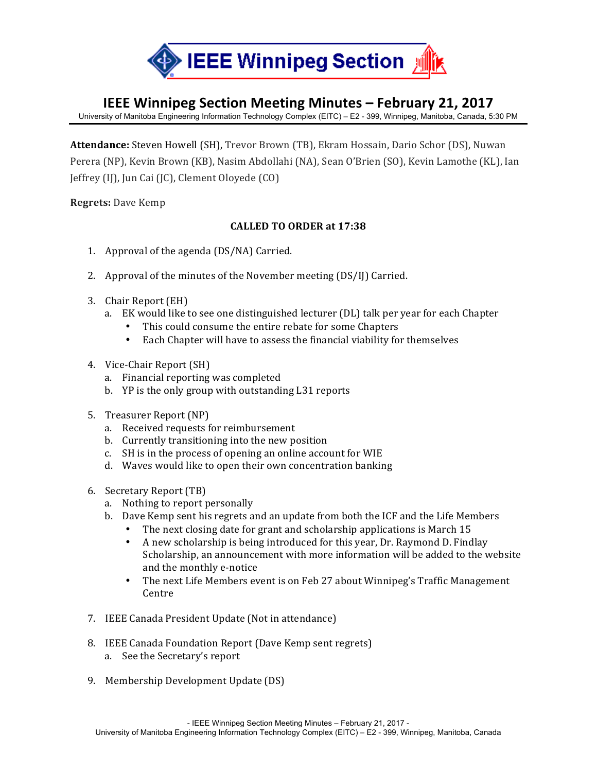

## **IEEE Winnipeg Section Meeting Minutes – February 21, 2017**

University of Manitoba Engineering Information Technology Complex (EITC) – E2 - 399, Winnipeg, Manitoba, Canada, 5:30 PM

Attendance: Steven Howell (SH), Trevor Brown (TB), Ekram Hossain, Dario Schor (DS), Nuwan Perera (NP), Kevin Brown (KB), Nasim Abdollahi (NA), Sean O'Brien (SO), Kevin Lamothe (KL), Ian Jeffrey (IJ), Jun Cai (JC), Clement Olovede (CO)

**Regrets:** Dave Kemp

## **CALLED TO ORDER at 17:38**

- 1. Approval of the agenda (DS/NA) Carried.
- 2. Approval of the minutes of the November meeting  $(DS/I)$  Carried.
- 3. Chair Report (EH)
	- a. EK would like to see one distinguished lecturer (DL) talk per year for each Chapter
		- This could consume the entire rebate for some Chapters
		- Each Chapter will have to assess the financial viability for themselves
- 4. Vice-Chair Report (SH)
	- a. Financial reporting was completed
	- b. YP is the only group with outstanding L31 reports
- 5. Treasurer Report (NP)
	- a. Received requests for reimbursement
	- b. Currently transitioning into the new position
	- c. SH is in the process of opening an online account for WIE
	- d. Waves would like to open their own concentration banking
- 6. Secretary Report (TB)
	- a. Nothing to report personally
	- b. Dave Kemp sent his regrets and an update from both the ICF and the Life Members
		- The next closing date for grant and scholarship applications is March 15
		- A new scholarship is being introduced for this year, Dr. Raymond D. Findlay Scholarship, an announcement with more information will be added to the website and the monthly e-notice
		- The next Life Members event is on Feb 27 about Winnipeg's Traffic Management Centre
- 7. IEEE Canada President Update (Not in attendance)
- 8. IEEE Canada Foundation Report (Dave Kemp sent regrets) a. See the Secretary's report
- 9. Membership Development Update (DS)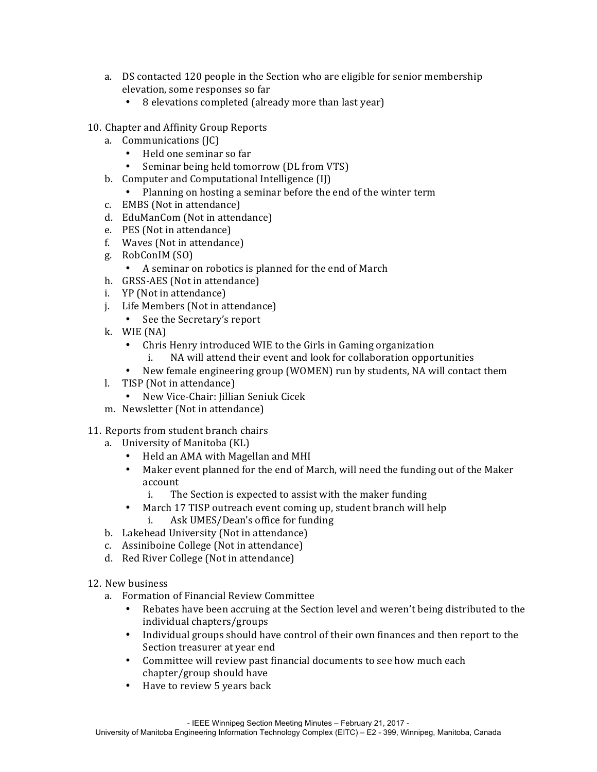- a. DS contacted 120 people in the Section who are eligible for senior membership elevation, some responses so far
	- 8 elevations completed (already more than last year)
- 10. Chapter and Affinity Group Reports
	- a. Communications (JC)
		- Held one seminar so far
		- Seminar being held tomorrow (DL from VTS)
	- b. Computer and Computational Intelligence (IJ)
		- Planning on hosting a seminar before the end of the winter term
	- c. EMBS (Not in attendance)
	- d. EduManCom (Not in attendance)
	- e. PES (Not in attendance)
	- f. Waves (Not in attendance)
	- g. RobConIM (SO)
		- A seminar on robotics is planned for the end of March
	- h. GRSS-AES (Not in attendance)
	- i. YP (Not in attendance)
	- j. Life Members (Not in attendance)
		- See the Secretary's report
	- k. WIE (NA)
		- Chris Henry introduced WIE to the Girls in Gaming organization
			- NA will attend their event and look for collaboration opportunities
		- New female engineering group (WOMEN) run by students, NA will contact them
	- l. TISP (Not in attendance)
		- New Vice-Chair: Jillian Seniuk Cicek
	- m. Newsletter (Not in attendance)
- 11. Reports from student branch chairs
	- a. University of Manitoba (KL)
		- Held an AMA with Magellan and MHI
		- Maker event planned for the end of March, will need the funding out of the Maker account
			- i. The Section is expected to assist with the maker funding
		- March 17 TISP outreach event coming up, student branch will help i. Ask UMES/Dean's office for funding
	- b. Lakehead University (Not in attendance)
	- c. Assiniboine College (Not in attendance)
	- d. Red River College (Not in attendance)
- 12. New business
	- a. Formation of Financial Review Committee
		- Rebates have been accruing at the Section level and weren't being distributed to the individual chapters/groups
		- Individual groups should have control of their own finances and then report to the Section treasurer at year end
		- Committee will review past financial documents to see how much each  $ch$ apter/group should have
		- Have to review 5 years back